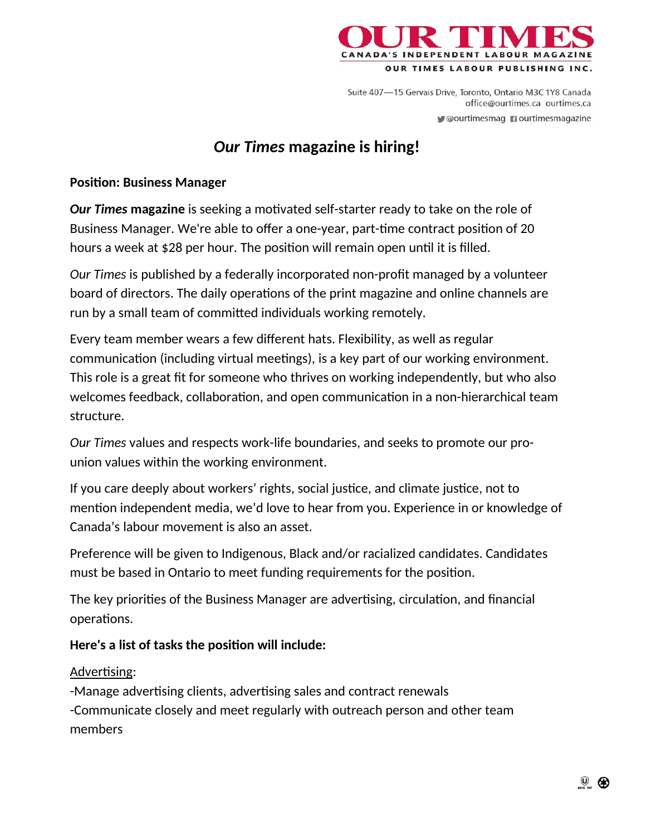

Suite 407-15 Gervais Drive, Toronto, Ontario M3C 1Y8 Canada office@ourtimes.ca\_ourtimes.ca Courtimesmag nourtimesmagazine

# *Our Times* **magazine is hiring!**

#### **Position: Business Manager**

**Our Times magazine** is seeking a motivated self-starter ready to take on the role of Business Manager. We're able to offer a one-year, part-time contract position of 20 hours a week at \$28 per hour. The position will remain open until it is filled.

*Our Times* is published by a federally incorporated non-profit managed by a volunteer board of directors. The daily operations of the print magazine and online channels are run by a small team of committed individuals working remotely.

Every team member wears a few different hats. Flexibility, as well as regular communication (including virtual meetings), is a key part of our working environment. This role is a great fit for someone who thrives on working independently, but who also welcomes feedback, collaboration, and open communication in a non-hierarchical team structure.

*Our Times* values and respects work-life boundaries, and seeks to promote our prounion values within the working environment.

If you care deeply about workers' rights, social justice, and climate justice, not to mention independent media, we'd love to hear from you. Experience in or knowledge of Canada's labour movement is also an asset.

Preference will be given to Indigenous, Black and/or racialized candidates. Candidates must be based in Ontario to meet funding requirements for the position.

The key priorities of the Business Manager are advertising, circulation, and financial operations.

#### Here's a list of tasks the position will include:

#### Advertising:

-Manage advertising clients, advertising sales and contract renewals -Communicate closely and meet regularly with outreach person and other team members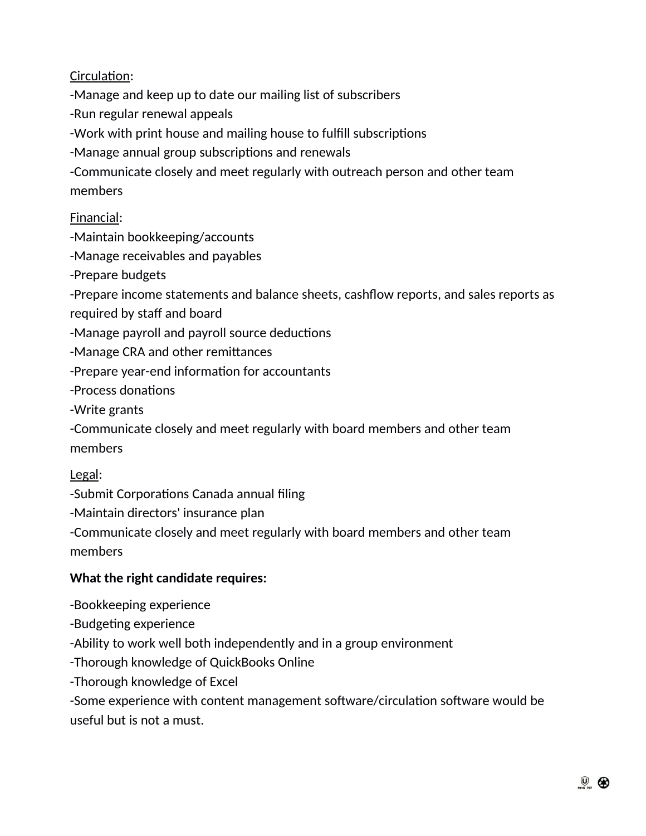Circulation:

-Manage and keep up to date our mailing list of subscribers

-Run regular renewal appeals

-Work with print house and mailing house to fulfill subscriptions

-Manage annual group subscriptions and renewals

-Communicate closely and meet regularly with outreach person and other team members

# Financial:

-Maintain bookkeeping/accounts

-Manage receivables and payables

-Prepare budgets

-Prepare income statements and balance sheets, cashflow reports, and sales reports as required by staff and board

-Manage payroll and payroll source deductions

-Manage CRA and other remittances

-Prepare year-end information for accountants

-Process donations

-Write grants

-Communicate closely and meet regularly with board members and other team members

## Legal:

-Submit Corporations Canada annual filing

-Maintain directors' insurance plan

-Communicate closely and meet regularly with board members and other team members

## **What the right candidate requires:**

-Bookkeeping experience

-Budgeting experience

-Ability to work well both independently and in a group environment

-Thorough knowledge of QuickBooks Online

-Thorough knowledge of Excel

-Some experience with content management software/circulation software would be useful but is not a must.